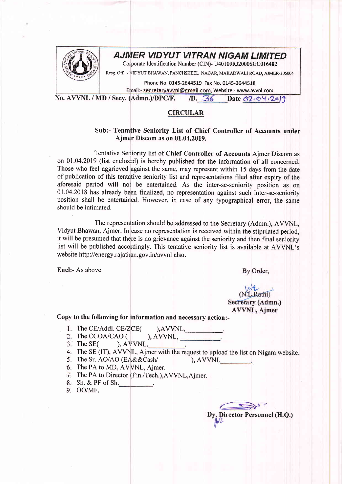

## AJMER VIDYUT VITRAN NIGAM LIMITED

Corporate Identification Number (CIN)- U40109RJ2000SGC016482

Resg. Off. :- VIDYUT BHAWAN, PANCHSHEEL NAGAR, MAKADWALI ROAD, AJMER-305004

Phone No. 0145-2644519 Fax No. 0145-2644518

Email:- secretaryavvnl@gmail.com, Website:- www.avvnl.com

No. AVVNL / MD / Secy. (Admn.)/DPC/F.  $\sqrt{D}$ .  $\frac{36}{36}$  Date  $\frac{32.04}{29}$ 

## CIRCULAR

## Sub:- Tentative Seniority List of Chief Controller of Accounts under Ajmer Discom as on 01.04.2019.

Tentative Seniority list of Chief Controller of Accounts Ajmer Discom as on 01.04.2019 (list enclosed) is hereby published for the information of all concerned. Those who feel aggrieved against the same, may represent within 15 days from the date of publication of this tentative seniority list and representations filed after expiry of the aforesaid period will not be entertained. As the inter-se-seniority position as on  $01.04.2018$  has already been finalized, no representation against such inter-se-seniority position shall be entertained. However, in case of any typographical error, the same should be intimated.

The representation should be addressed to the Secretary (Admn.), AVVNL, Vidyut Bhawan, Ajmer. In case no representation is received within the stipulated period, it will be presumed that there is no grievance against the seniority and then final seniority list will be published accordingly. This tentative seniority list is available at AVVNL's website http://energy.rajathan.gov.in/avvnl also.

Encl:- As above

By Order,

## $(N.L.Rathi)$ Secretary (Admn.) **AVVNL**, Ajmer

Copy to the following for information and necessary action:-

- 1. The CE/Addl. CE/ZCE( ),AVVNL,
- 2. The CCOA/CAO (  $AVVNL$ ,
- $3.$  The SE( ), AVVNL,
- 4. The SE (IT), AVVNL, Ajmer with the request to upload the list on Nigam website.
- 5. The Sr. AO/AO (EA&&Cash/ ), AVVNL
- 6. The PA to MD, AVVNL, Ajmer.
- 7. The PA to Director (Fin./Tech.), AVVNL, Aimer.
- Sh. & PF of Sh.
- 9. OO/MF.

Dy, Director Personnel (H.Q.)